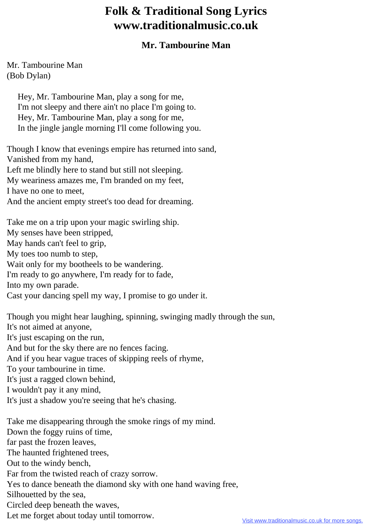## **Folk & Traditional Song Lyrics www.traditionalmusic.co.uk**

## **Mr. Tambourine Man**

Mr. Tambourine Man (Bob Dylan)

> Hey, Mr. Tambourine Man, play a song for me, I'm not sleepy and there ain't no place I'm going to. Hey, Mr. Tambourine Man, play a song for me, In the jingle jangle morning I'll come following you.

Though I know that evenings empire has returned into sand, Vanished from my hand, Left me blindly here to stand but still not sleeping. My weariness amazes me, I'm branded on my feet, I have no one to meet, And the ancient empty street's too dead for dreaming.

Take me on a trip upon your magic swirling ship. My senses have been stripped, May hands can't feel to grip, My toes too numb to step, Wait only for my bootheels to be wandering. I'm ready to go anywhere, I'm ready for to fade, Into my own parade. Cast your dancing spell my way, I promise to go under it.

Though you might hear laughing, spinning, swinging madly through the sun, It's not aimed at anyone, It's just escaping on the run, And but for the sky there are no fences facing. And if you hear vague traces of skipping reels of rhyme, To your tambourine in time. It's just a ragged clown behind, I wouldn't pay it any mind, It's just a shadow you're seeing that he's chasing. Take me disappearing through the smoke rings of my mind. Down the foggy ruins of time, far past the frozen leaves, The haunted frightened trees, Out to the windy bench, Far from the twisted reach of crazy sorrow. Yes to dance beneath the diamond sky with one hand waving free, Silhouetted by the sea, Circled deep beneath the waves, Let me forget about today until tomorrow.